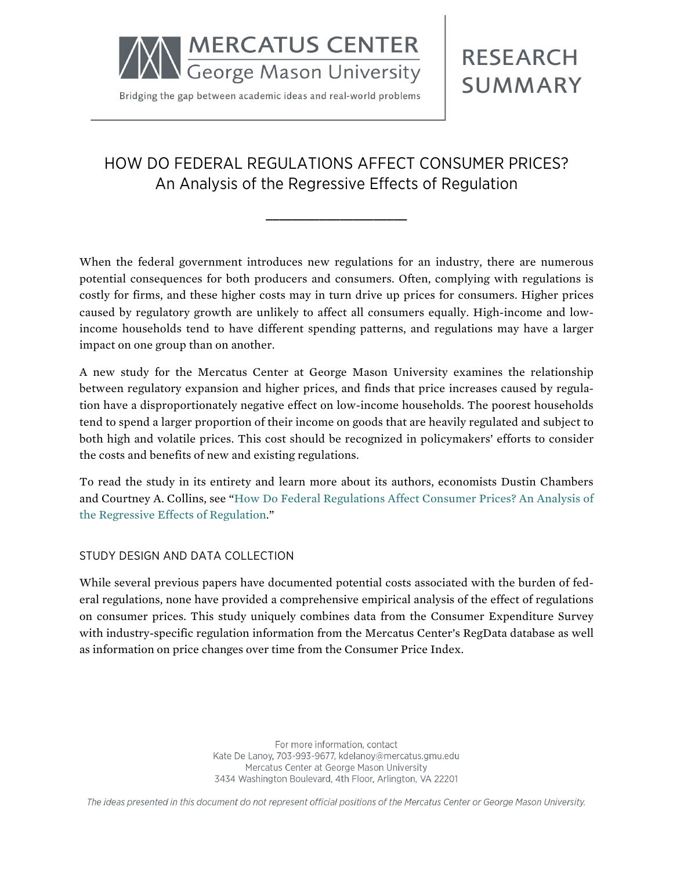

Bridging the gap between academic ideas and real-world problems

**RESEARCH SUMMARY** 

# HOW DO FEDERAL REGULATIONS AFFECT CONSUMER PRICES? An Analysis of the Regressive Effects of Regulation

**\_\_\_\_\_\_\_\_\_\_\_\_\_\_\_\_\_\_\_\_\_**

When the federal government introduces new regulations for an industry, there are numerous potential consequences for both producers and consumers. Often, complying with regulations is costly for firms, and these higher costs may in turn drive up prices for consumers. Higher prices caused by regulatory growth are unlikely to affect all consumers equally. High-income and lowincome households tend to have different spending patterns, and regulations may have a larger impact on one group than on another.

A new study for the Mercatus Center at George Mason University examines the relationship between regulatory expansion and higher prices, and finds that price increases caused by regulation have a disproportionately negative effect on low-income households. The poorest households tend to spend a larger proportion of their income on goods that are heavily regulated and subject to both high and volatile prices. This cost should be recognized in policymakers' efforts to consider the costs and benefits of new and existing regulations.

To read the study in its entirety and learn more about its authors, economists Dustin Chambers and Courtney A. Collins, see ["How Do Federal Regulations Affect Consumer Prices? An Analysis of](http://mercatus.org/publication/how-do-federal-regulations-affect-consumer-prices-analysis-regressive-effects-regulation)  [the Regressive Effects of Regulation](http://mercatus.org/publication/how-do-federal-regulations-affect-consumer-prices-analysis-regressive-effects-regulation)."

## STUDY DESIGN AND DATA COLLECTION

While several previous papers have documented potential costs associated with the burden of federal regulations, none have provided a comprehensive empirical analysis of the effect of regulations on consumer prices. This study uniquely combines data from the Consumer Expenditure Survey with industry-specific regulation information from the Mercatus Center's RegData database as well as information on price changes over time from the Consumer Price Index.

> For more information, contact Kate De Lanoy, 703-993-9677, kdelanoy@mercatus.gmu.edu Mercatus Center at George Mason University 3434 Washington Boulevard, 4th Floor, Arlington, VA 22201

The ideas presented in this document do not represent official positions of the Mercatus Center or George Mason University.